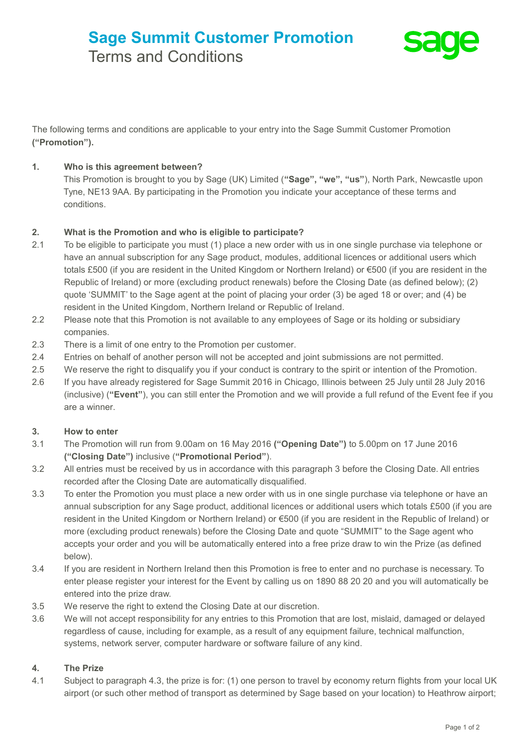# **Sage Summit Customer Promotion** Terms and Conditions



The following terms and conditions are applicable to your entry into the Sage Summit Customer Promotion **("Promotion").**

# **1. Who is this agreement between?**

This Promotion is brought to you by Sage (UK) Limited (**"Sage", "we", "us"**), North Park, Newcastle upon Tyne, NE13 9AA. By participating in the Promotion you indicate your acceptance of these terms and conditions.

# **2. What is the Promotion and who is eligible to participate?**

- 2.1 To be eligible to participate you must (1) place a new order with us in one single purchase via telephone or have an annual subscription for any Sage product, modules, additional licences or additional users which totals £500 (if you are resident in the United Kingdom or Northern Ireland) or €500 (if you are resident in the Republic of Ireland) or more (excluding product renewals) before the Closing Date (as defined below); (2) quote 'SUMMIT' to the Sage agent at the point of placing your order (3) be aged 18 or over; and (4) be resident in the United Kingdom, Northern Ireland or Republic of Ireland.
- 2.2 Please note that this Promotion is not available to any employees of Sage or its holding or subsidiary companies.
- 2.3 There is a limit of one entry to the Promotion per customer.
- 2.4 Entries on behalf of another person will not be accepted and joint submissions are not permitted.
- 2.5 We reserve the right to disqualify you if your conduct is contrary to the spirit or intention of the Promotion.
- 2.6 If you have already registered for Sage Summit 2016 in Chicago, Illinois between 25 July until 28 July 2016 (inclusive) (**"Event"**), you can still enter the Promotion and we will provide a full refund of the Event fee if you are a winner.

## **3. How to enter**

- 3.1 The Promotion will run from 9.00am on 16 May 2016 **("Opening Date")** to 5.00pm on 17 June 2016 **("Closing Date")** inclusive (**"Promotional Period"**).
- 3.2 All entries must be received by us in accordance with this paragraph 3 before the Closing Date. All entries recorded after the Closing Date are automatically disqualified.
- 3.3 To enter the Promotion you must place a new order with us in one single purchase via telephone or have an annual subscription for any Sage product, additional licences or additional users which totals £500 (if you are resident in the United Kingdom or Northern Ireland) or €500 (if you are resident in the Republic of Ireland) or more (excluding product renewals) before the Closing Date and quote "SUMMIT" to the Sage agent who accepts your order and you will be automatically entered into a free prize draw to win the Prize (as defined below).
- 3.4 If you are resident in Northern Ireland then this Promotion is free to enter and no purchase is necessary. To enter please register your interest for the Event by calling us on 1890 88 20 20 and you will automatically be entered into the prize draw.
- 3.5 We reserve the right to extend the Closing Date at our discretion.
- 3.6 We will not accept responsibility for any entries to this Promotion that are lost, mislaid, damaged or delayed regardless of cause, including for example, as a result of any equipment failure, technical malfunction, systems, network server, computer hardware or software failure of any kind.

## **4. The Prize**

4.1 Subject to paragraph 4.3, the prize is for: (1) one person to travel by economy return flights from your local UK airport (or such other method of transport as determined by Sage based on your location) to Heathrow airport;